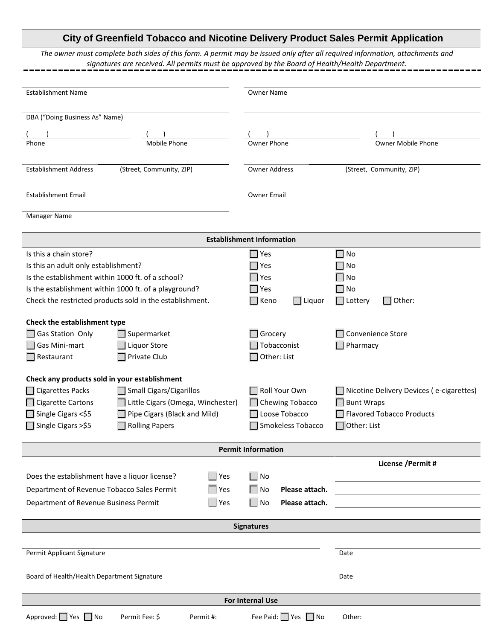## **City of Greenfield Tobacco and Nicotine Delivery Product Sales Permit Application**

*The owner must complete both sides of this form. A permit may be issued only after all required information, attachments and signatures are received. All permits must be approved by the Board of Health/Health Department.*

| <b>Establishment Name</b>                                     | <b>Owner Name</b>                      |                                          |  |  |
|---------------------------------------------------------------|----------------------------------------|------------------------------------------|--|--|
| DBA ("Doing Business As" Name)                                |                                        |                                          |  |  |
|                                                               |                                        |                                          |  |  |
| <b>Mobile Phone</b><br>Phone                                  | Owner Phone                            | <b>Owner Mobile Phone</b>                |  |  |
|                                                               |                                        |                                          |  |  |
| <b>Establishment Address</b><br>(Street, Community, ZIP)      | <b>Owner Address</b>                   | (Street, Community, ZIP)                 |  |  |
|                                                               |                                        |                                          |  |  |
|                                                               |                                        |                                          |  |  |
| <b>Establishment Email</b>                                    | <b>Owner Email</b>                     |                                          |  |  |
| Manager Name                                                  |                                        |                                          |  |  |
|                                                               |                                        |                                          |  |  |
| <b>Establishment Information</b>                              |                                        |                                          |  |  |
| Is this a chain store?                                        | Yes                                    | $\Box$ No                                |  |  |
| Is this an adult only establishment?                          | Yes                                    | No                                       |  |  |
| Is the establishment within 1000 ft. of a school?             | Yes                                    | No                                       |  |  |
| Is the establishment within 1000 ft. of a playground?         | Yes                                    | No                                       |  |  |
| Check the restricted products sold in the establishment.      | $\Box$ Liquor<br>Keno                  | Other:<br>$\Box$ Lottery                 |  |  |
|                                                               |                                        |                                          |  |  |
| Check the establishment type                                  |                                        |                                          |  |  |
| <b>Gas Station Only</b><br>Supermarket                        | Grocery                                | Convenience Store                        |  |  |
| Gas Mini-mart<br>Liquor Store                                 | Tobacconist                            | Pharmacy                                 |  |  |
| Private Club<br>$\Box$ Restaurant                             | Other: List                            |                                          |  |  |
| Check any products sold in your establishment                 |                                        |                                          |  |  |
| <b>Cigarettes Packs</b><br>Small Cigars/Cigarillos            | Roll Your Own                          | Nicotine Delivery Devices (e-cigarettes) |  |  |
| <b>Cigarette Cartons</b>                                      |                                        |                                          |  |  |
| Little Cigars (Omega, Winchester)                             | Chewing Tobacco                        | <b>Bunt Wraps</b>                        |  |  |
| Single Cigars <\$5<br>Pipe Cigars (Black and Mild)            | Loose Tobacco                          | <b>Flavored Tobacco Products</b>         |  |  |
| Single Cigars >\$5<br><b>Rolling Papers</b>                   | Smokeless Tobacco                      | Other: List                              |  |  |
| <b>Permit Information</b>                                     |                                        |                                          |  |  |
|                                                               |                                        | License / Permit #                       |  |  |
| $\Box$ Yes<br>Does the establishment have a liquor license?   | $\Box$ No                              |                                          |  |  |
|                                                               |                                        |                                          |  |  |
| Department of Revenue Tobacco Sales Permit<br>$\Box$ Yes      | $\square$ No<br>Please attach.         |                                          |  |  |
| Department of Revenue Business Permit<br>$\Box$ Yes           | $\square$ No<br>Please attach.         |                                          |  |  |
|                                                               | <b>Signatures</b>                      |                                          |  |  |
|                                                               |                                        |                                          |  |  |
|                                                               |                                        |                                          |  |  |
| Permit Applicant Signature                                    |                                        | Date                                     |  |  |
| Board of Health/Health Department Signature                   |                                        | Date                                     |  |  |
|                                                               |                                        |                                          |  |  |
| <b>For Internal Use</b>                                       |                                        |                                          |  |  |
|                                                               |                                        |                                          |  |  |
| Approved: $\Box$ Yes $\Box$ No<br>Permit Fee: \$<br>Permit #: | Fee Paid: $\Box$ Yes<br>$\bigsqcup$ No | Other:                                   |  |  |